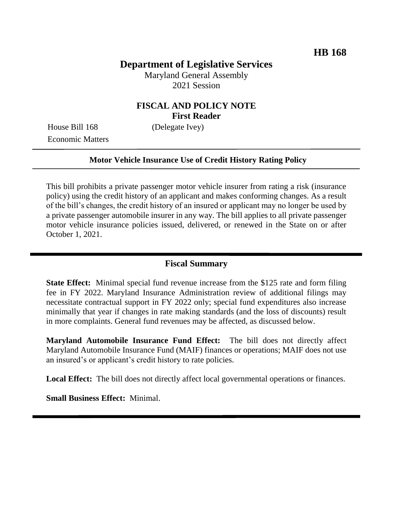# **Department of Legislative Services**

Maryland General Assembly 2021 Session

## **FISCAL AND POLICY NOTE First Reader**

House Bill 168 (Delegate Ivey) Economic Matters

#### **Motor Vehicle Insurance Use of Credit History Rating Policy**

This bill prohibits a private passenger motor vehicle insurer from rating a risk (insurance policy) using the credit history of an applicant and makes conforming changes. As a result of the bill's changes, the credit history of an insured or applicant may no longer be used by a private passenger automobile insurer in any way. The bill applies to all private passenger motor vehicle insurance policies issued, delivered, or renewed in the State on or after October 1, 2021.

### **Fiscal Summary**

**State Effect:** Minimal special fund revenue increase from the \$125 rate and form filing fee in FY 2022. Maryland Insurance Administration review of additional filings may necessitate contractual support in FY 2022 only; special fund expenditures also increase minimally that year if changes in rate making standards (and the loss of discounts) result in more complaints. General fund revenues may be affected, as discussed below.

**Maryland Automobile Insurance Fund Effect:** The bill does not directly affect Maryland Automobile Insurance Fund (MAIF) finances or operations; MAIF does not use an insured's or applicant's credit history to rate policies.

Local Effect: The bill does not directly affect local governmental operations or finances.

**Small Business Effect:** Minimal.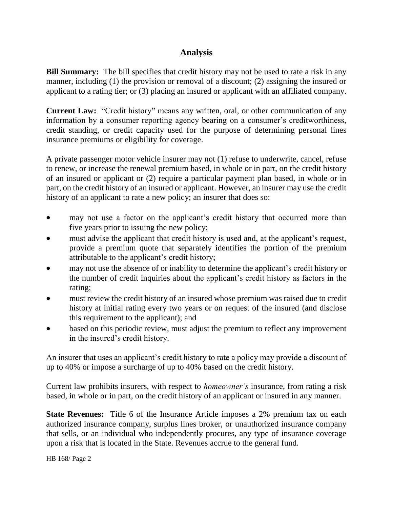# **Analysis**

**Bill Summary:** The bill specifies that credit history may not be used to rate a risk in any manner, including (1) the provision or removal of a discount; (2) assigning the insured or applicant to a rating tier; or (3) placing an insured or applicant with an affiliated company.

**Current Law:** "Credit history" means any written, oral, or other communication of any information by a consumer reporting agency bearing on a consumer's creditworthiness, credit standing, or credit capacity used for the purpose of determining personal lines insurance premiums or eligibility for coverage.

A private passenger motor vehicle insurer may not (1) refuse to underwrite, cancel, refuse to renew, or increase the renewal premium based, in whole or in part, on the credit history of an insured or applicant or (2) require a particular payment plan based, in whole or in part, on the credit history of an insured or applicant. However, an insurer may use the credit history of an applicant to rate a new policy; an insurer that does so:

- may not use a factor on the applicant's credit history that occurred more than five years prior to issuing the new policy;
- must advise the applicant that credit history is used and, at the applicant's request, provide a premium quote that separately identifies the portion of the premium attributable to the applicant's credit history;
- may not use the absence of or inability to determine the applicant's credit history or the number of credit inquiries about the applicant's credit history as factors in the rating;
- must review the credit history of an insured whose premium was raised due to credit history at initial rating every two years or on request of the insured (and disclose this requirement to the applicant); and
- based on this periodic review, must adjust the premium to reflect any improvement in the insured's credit history.

An insurer that uses an applicant's credit history to rate a policy may provide a discount of up to 40% or impose a surcharge of up to 40% based on the credit history.

Current law prohibits insurers, with respect to *homeowner's* insurance, from rating a risk based, in whole or in part, on the credit history of an applicant or insured in any manner.

**State Revenues:** Title 6 of the Insurance Article imposes a 2% premium tax on each authorized insurance company, surplus lines broker, or unauthorized insurance company that sells, or an individual who independently procures, any type of insurance coverage upon a risk that is located in the State. Revenues accrue to the general fund.

HB 168/ Page 2